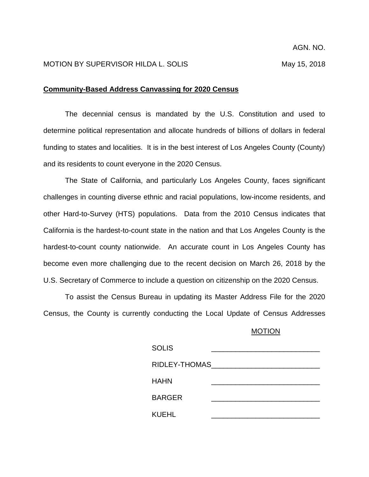## MOTION BY SUPERVISOR HILDA L. SOLIS MARIES AND MAY 15, 2018

## **Community-Based Address Canvassing for 2020 Census**

The decennial census is mandated by the U.S. Constitution and used to determine political representation and allocate hundreds of billions of dollars in federal funding to states and localities. It is in the best interest of Los Angeles County (County) and its residents to count everyone in the 2020 Census.

The State of California, and particularly Los Angeles County, faces significant challenges in counting diverse ethnic and racial populations, low-income residents, and other Hard-to-Survey (HTS) populations. Data from the 2010 Census indicates that California is the hardest-to-count state in the nation and that Los Angeles County is the hardest-to-count county nationwide. An accurate count in Los Angeles County has become even more challenging due to the recent decision on March 26, 2018 by the U.S. Secretary of Commerce to include a question on citizenship on the 2020 Census.

To assist the Census Bureau in updating its Master Address File for the 2020 Census, the County is currently conducting the Local Update of Census Addresses

## MOTION

| <b>SOLIS</b>  |  |
|---------------|--|
| RIDLEY-THOMAS |  |
| HAHN          |  |
| <b>BARGER</b> |  |
| KUEHL         |  |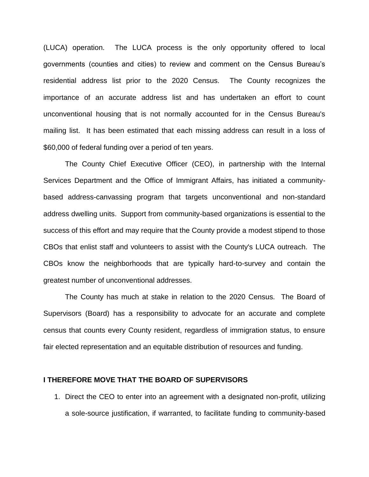(LUCA) operation. The LUCA process is the only opportunity offered to local governments (counties and cities) to review and comment on the Census Bureau's residential address list prior to the 2020 Census. The County recognizes the importance of an accurate address list and has undertaken an effort to count unconventional housing that is not normally accounted for in the Census Bureau's mailing list. It has been estimated that each missing address can result in a loss of \$60,000 of federal funding over a period of ten years.

The County Chief Executive Officer (CEO), in partnership with the Internal Services Department and the Office of Immigrant Affairs, has initiated a communitybased address-canvassing program that targets unconventional and non-standard address dwelling units. Support from community-based organizations is essential to the success of this effort and may require that the County provide a modest stipend to those CBOs that enlist staff and volunteers to assist with the County's LUCA outreach. The CBOs know the neighborhoods that are typically hard-to-survey and contain the greatest number of unconventional addresses.

The County has much at stake in relation to the 2020 Census. The Board of Supervisors (Board) has a responsibility to advocate for an accurate and complete census that counts every County resident, regardless of immigration status, to ensure fair elected representation and an equitable distribution of resources and funding.

## **I THEREFORE MOVE THAT THE BOARD OF SUPERVISORS**

1. Direct the CEO to enter into an agreement with a designated non-profit, utilizing a sole-source justification, if warranted, to facilitate funding to community-based